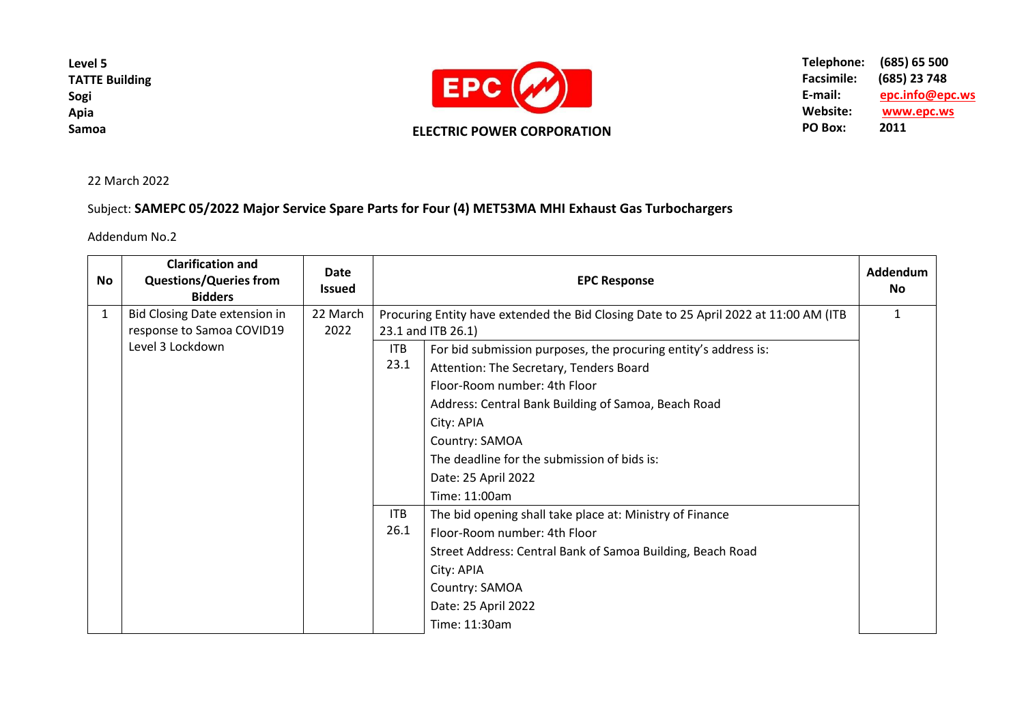**Level 5 TATTE Building Sogi Apia Samoa**



**Telephone: (685) 65 500** Facsimile: (685) 23 748<br>E-mail: epc.info@ep **E-mail: epc[.info@epc.ws](mailto:info@epc.ws)** Website: <u>www.epc.ws</u><br>PO Box: 2011 **PO Box:** 

22 March 2022

## Subject: **SAMEPC 05/2022 Major Service Spare Parts for Four (4) MET53MA MHI Exhaust Gas Turbochargers**

Addendum No.2

| No | <b>Clarification and</b><br><b>Questions/Queries from</b><br><b>Bidders</b> | <b>Date</b><br><b>Issued</b> | <b>EPC Response</b>                                                                   |                                                                 | <b>Addendum</b><br><b>No</b> |
|----|-----------------------------------------------------------------------------|------------------------------|---------------------------------------------------------------------------------------|-----------------------------------------------------------------|------------------------------|
| 1  | Bid Closing Date extension in                                               | 22 March                     | Procuring Entity have extended the Bid Closing Date to 25 April 2022 at 11:00 AM (ITB |                                                                 | 1                            |
|    | response to Samoa COVID19                                                   | 2022                         | 23.1 and ITB 26.1)                                                                    |                                                                 |                              |
|    | Level 3 Lockdown                                                            |                              | <b>ITB</b>                                                                            | For bid submission purposes, the procuring entity's address is: |                              |
|    |                                                                             |                              | 23.1                                                                                  | Attention: The Secretary, Tenders Board                         |                              |
|    |                                                                             |                              |                                                                                       | Floor-Room number: 4th Floor                                    |                              |
|    |                                                                             |                              |                                                                                       | Address: Central Bank Building of Samoa, Beach Road             |                              |
|    |                                                                             |                              |                                                                                       | City: APIA                                                      |                              |
|    |                                                                             |                              |                                                                                       | Country: SAMOA                                                  |                              |
|    |                                                                             |                              |                                                                                       | The deadline for the submission of bids is:                     |                              |
|    |                                                                             |                              |                                                                                       | Date: 25 April 2022                                             |                              |
|    |                                                                             |                              |                                                                                       | Time: 11:00am                                                   |                              |
|    |                                                                             |                              | <b>ITB</b>                                                                            | The bid opening shall take place at: Ministry of Finance        |                              |
|    |                                                                             |                              | 26.1                                                                                  | Floor-Room number: 4th Floor                                    |                              |
|    |                                                                             |                              |                                                                                       | Street Address: Central Bank of Samoa Building, Beach Road      |                              |
|    |                                                                             |                              |                                                                                       | City: APIA                                                      |                              |
|    |                                                                             |                              |                                                                                       | Country: SAMOA                                                  |                              |
|    |                                                                             |                              |                                                                                       | Date: 25 April 2022                                             |                              |
|    |                                                                             |                              |                                                                                       | Time: 11:30am                                                   |                              |